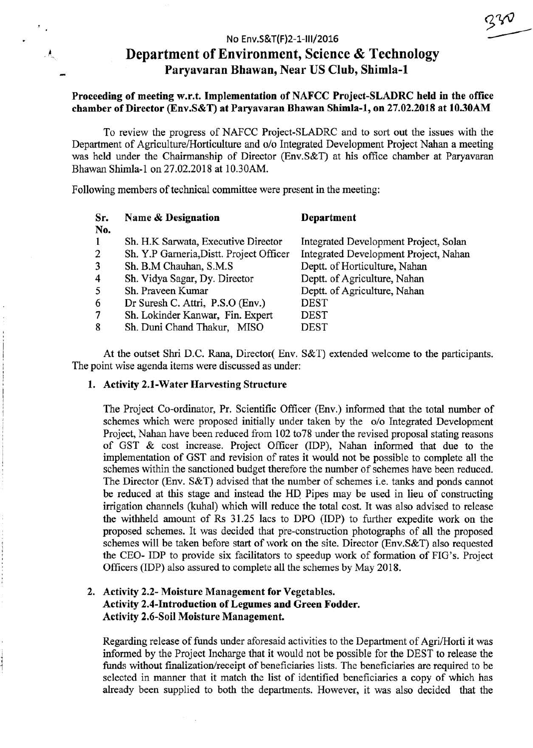# Department of Environment, Science & Technology Paryavaran Bhawan, Near US Club, Shimla-1

### Proceeding of meeting w.r.t. Implementation of NAFCC Project-SLADRC held in the office chamber of Director (Env.S&T) at Paryavaran Bhawan Shimla-1, on 27.02.2018 at 10.30AM

To review the progress of NAFCC Project-SLADRC and to sort out the issues with the Department of Agriculture/Horticulture and o/o Integrated Development Project Nahan a meeting was held under the Chairmanship of Director (Env.S&T) at his office chamber at Paryavaran Bhawan Shimla-1 on 27.02.2018 at 10.30AM.

Following members of technical committee were present in the meeting:

| Sr.<br>No.              | Name & Designation                       | Department                            |
|-------------------------|------------------------------------------|---------------------------------------|
| $\bf{1}$                | Sh. H.K Sarwata, Executive Director      | Integrated Development Project, Solan |
| 2                       | Sh. Y.P Garneria, Distt. Project Officer | Integrated Development Project, Nahan |
| 3                       | Sh. B.M Chauhan, S.M.S.                  | Deptt. of Horticulture, Nahan         |
| $\overline{\mathbf{4}}$ | Sh. Vidya Sagar, Dy. Director            | Deptt. of Agriculture, Nahan          |
| 5                       | Sh. Praveen Kumar                        | Deptt. of Agriculture, Nahan          |
| 6                       | Dr Suresh C. Attri, P.S.O (Env.)         | <b>DEST</b>                           |
| 7                       | Sh. Lokinder Kanwar, Fin. Expert         | <b>DEST</b>                           |
| 8                       | Sh. Duni Chand Thakur, MISO              | <b>DEST</b>                           |

At the outset Shri D.C. Rana, Director( Env. S&T) extended welcome to the participants. The point wise agenda items were discussed as under:

#### 1. Activity 2.1-Water Harvesting Structure

 $\mathcal{L}_{\mathcal{L}}$ 

The Project Co-ordinator, Pr. Scientific Officer (Env.) informed that the total number of schemes which were proposed initially under taken by the o/o Integrated Development Project, Nahan have been reduced from 102 to78 under the revised proposal stating reasons of GST & cost increase. Project Officer (IDP), Nahan informed that due to the implementation of GST and revision of rates it would not be possible to complete all the schemes within the sanctioned budget therefore the number of schemes have been reduced. The Director (Env. S&T) advised that 1he number of schemes i.e. tanks and ponds cannot be reduced at this stage and instead the HO Pipes may be used in lieu of constructing irrigation channels (kuhal) which will reduce the total cost. It was also advised to release the withheld amount of Rs 31.25 lacs to DPO (IDP) to further expedite work on the proposed schemes. It was decided that pre-construction photographs of all the proposed schemes will be taken before start of work on the site. Director (Env.S&T) also requested the CEO- IDP to provide six facilitators to speedup work of formation of FIG's. Project Officers (IDP) also assured to complete all the schemes by May 2018.

## 2. Activity 2.2- Moisture Management for Vegetables. Activity 2.4-Introduction of Legumes and Green Fodder. Activity 2.6-Soil Moisture Management.

Regarding release of funds under aforesaid activities to the Department of Agri/Horti it was informed by the Project Incharge that it would not be possible for the DEST to release the funds without finalization/receipt of beneficiaries lists. The beneficiaries are required to be selected in manner that it match the list of identified beneficiaries a copy of which has already been supplied to both the departments. However, it was also decided that the